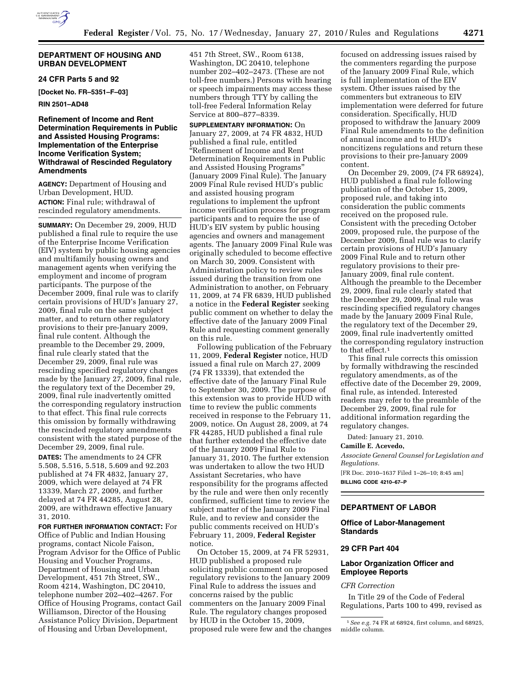

### **DEPARTMENT OF HOUSING AND URBAN DEVELOPMENT**

### **24 CFR Parts 5 and 92**

**[Docket No. FR–5351–F–03]** 

**RIN 2501–AD48** 

### **Refinement of Income and Rent Determination Requirements in Public and Assisted Housing Programs: Implementation of the Enterprise Income Verification System; Withdrawal of Rescinded Regulatory Amendments**

**AGENCY:** Department of Housing and Urban Development, HUD. **ACTION:** Final rule; withdrawal of rescinded regulatory amendments.

**SUMMARY:** On December 29, 2009, HUD published a final rule to require the use of the Enterprise Income Verification (EIV) system by public housing agencies and multifamily housing owners and management agents when verifying the employment and income of program participants. The purpose of the December 2009, final rule was to clarify certain provisions of HUD's January 27, 2009, final rule on the same subject matter, and to return other regulatory provisions to their pre-January 2009, final rule content. Although the preamble to the December 29, 2009, final rule clearly stated that the December 29, 2009, final rule was rescinding specified regulatory changes made by the January 27, 2009, final rule, the regulatory text of the December 29, 2009, final rule inadvertently omitted the corresponding regulatory instruction to that effect. This final rule corrects this omission by formally withdrawing the rescinded regulatory amendments consistent with the stated purpose of the December 29, 2009, final rule.

**DATES:** The amendments to 24 CFR 5.508, 5.516, 5.518, 5.609 and 92.203 published at 74 FR 4832, January 27, 2009, which were delayed at 74 FR 13339, March 27, 2009, and further delayed at 74 FR 44285, August 28, 2009, are withdrawn effective January 31, 2010.

**FOR FURTHER INFORMATION CONTACT:** For Office of Public and Indian Housing programs, contact Nicole Faison, Program Advisor for the Office of Public Housing and Voucher Programs, Department of Housing and Urban Development, 451 7th Street, SW., Room 4214, Washington, DC 20410, telephone number 202–402–4267. For Office of Housing Programs, contact Gail Williamson, Director of the Housing Assistance Policy Division, Department of Housing and Urban Development,

451 7th Street, SW., Room 6138, Washington, DC 20410, telephone number 202–402–2473. (These are not toll-free numbers.) Persons with hearing or speech impairments may access these numbers through TTY by calling the toll-free Federal Information Relay Service at 800–877–8339.

**SUPPLEMENTARY INFORMATION:** On January 27, 2009, at 74 FR 4832, HUD published a final rule, entitled ''Refinement of Income and Rent Determination Requirements in Public and Assisted Housing Programs'' (January 2009 Final Rule). The January 2009 Final Rule revised HUD's public and assisted housing program regulations to implement the upfront income verification process for program participants and to require the use of HUD's EIV system by public housing agencies and owners and management agents. The January 2009 Final Rule was originally scheduled to become effective on March 30, 2009. Consistent with Administration policy to review rules issued during the transition from one Administration to another, on February 11, 2009, at 74 FR 6839, HUD published a notice in the **Federal Register** seeking public comment on whether to delay the effective date of the January 2009 Final Rule and requesting comment generally on this rule.

Following publication of the February 11, 2009, **Federal Register** notice, HUD issued a final rule on March 27, 2009 (74 FR 13339), that extended the effective date of the January Final Rule to September 30, 2009. The purpose of this extension was to provide HUD with time to review the public comments received in response to the February 11, 2009, notice. On August 28, 2009, at 74 FR 44285, HUD published a final rule that further extended the effective date of the January 2009 Final Rule to January 31, 2010. The further extension was undertaken to allow the two HUD Assistant Secretaries, who have responsibility for the programs affected by the rule and were then only recently confirmed, sufficient time to review the subject matter of the January 2009 Final Rule, and to review and consider the public comments received on HUD's February 11, 2009, **Federal Register**  notice.

On October 15, 2009, at 74 FR 52931, HUD published a proposed rule soliciting public comment on proposed regulatory revisions to the January 2009 Final Rule to address the issues and concerns raised by the public commenters on the January 2009 Final Rule. The regulatory changes proposed by HUD in the October 15, 2009, proposed rule were few and the changes

focused on addressing issues raised by the commenters regarding the purpose of the January 2009 Final Rule, which is full implementation of the EIV system. Other issues raised by the commenters but extraneous to EIV implementation were deferred for future consideration. Specifically, HUD proposed to withdraw the January 2009 Final Rule amendments to the definition of annual income and to HUD's noncitizens regulations and return these provisions to their pre-January 2009 content.

On December 29, 2009, (74 FR 68924), HUD published a final rule following publication of the October 15, 2009, proposed rule, and taking into consideration the public comments received on the proposed rule. Consistent with the preceding October 2009, proposed rule, the purpose of the December 2009, final rule was to clarify certain provisions of HUD's January 2009 Final Rule and to return other regulatory provisions to their pre-January 2009, final rule content. Although the preamble to the December 29, 2009, final rule clearly stated that the December 29, 2009, final rule was rescinding specified regulatory changes made by the January 2009 Final Rule, the regulatory text of the December 29, 2009, final rule inadvertently omitted the corresponding regulatory instruction to that effect.1

This final rule corrects this omission by formally withdrawing the rescinded regulatory amendments, as of the effective date of the December 29, 2009, final rule, as intended. Interested readers may refer to the preamble of the December 29, 2009, final rule for additional information regarding the regulatory changes.

Dated: January 21, 2010.

**Camille E. Acevedo,** 

*Associate General Counsel for Legislation and Regulations.* 

[FR Doc. 2010–1637 Filed 1–26–10; 8:45 am] **BILLING CODE 4210–67–P** 

# **DEPARTMENT OF LABOR**

### **Office of Labor-Management Standards**

# **29 CFR Part 404**

### **Labor Organization Officer and Employee Reports**

### *CFR Correction*

In Title 29 of the Code of Federal Regulations, Parts 100 to 499, revised as

<sup>1</sup>*See e.g.* 74 FR at 68924, first column, and 68925, middle column.